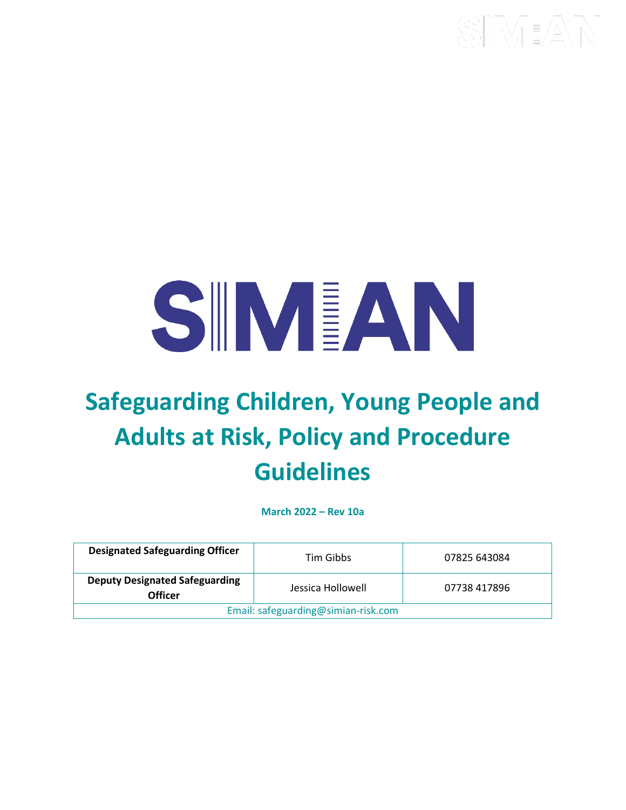# SIMEAN

## **Safeguarding Children, Young People and Adults at Risk, Policy and Procedure Guidelines**

**March 2022 – Rev 10a**

| <b>Designated Safeguarding Officer</b>           | Tim Gibbs         | 07825 643084 |  |  |
|--------------------------------------------------|-------------------|--------------|--|--|
| <b>Deputy Designated Safeguarding</b><br>Officer | Jessica Hollowell | 07738 417896 |  |  |
| Email: safeguarding@simian-risk.com              |                   |              |  |  |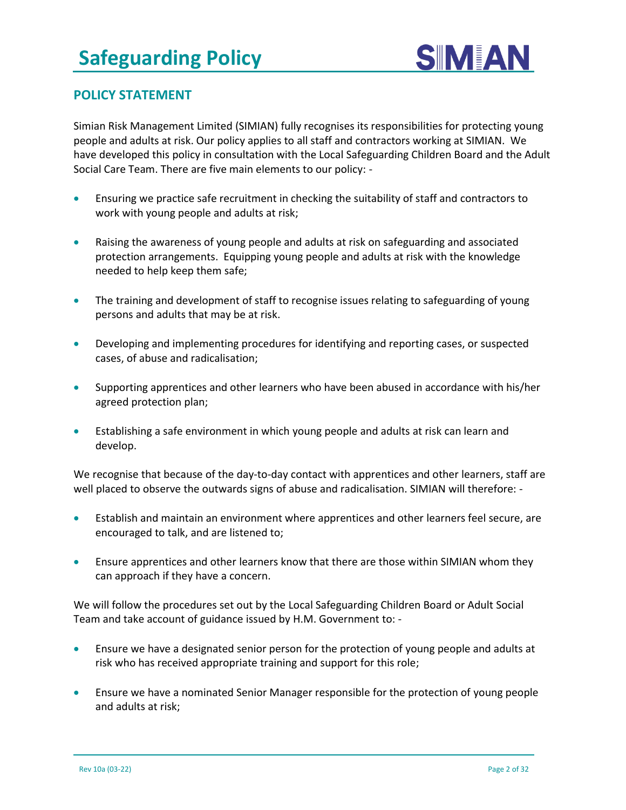

#### **POLICY STATEMENT**

Simian Risk Management Limited (SIMIAN) fully recognises its responsibilities for protecting young people and adults at risk. Our policy applies to all staff and contractors working at SIMIAN. We have developed this policy in consultation with the Local Safeguarding Children Board and the Adult Social Care Team. There are five main elements to our policy: -

- Ensuring we practice safe recruitment in checking the suitability of staff and contractors to work with young people and adults at risk;
- Raising the awareness of young people and adults at risk on safeguarding and associated protection arrangements. Equipping young people and adults at risk with the knowledge needed to help keep them safe;
- The training and development of staff to recognise issues relating to safeguarding of young persons and adults that may be at risk.
- Developing and implementing procedures for identifying and reporting cases, or suspected cases, of abuse and radicalisation;
- Supporting apprentices and other learners who have been abused in accordance with his/her agreed protection plan;
- Establishing a safe environment in which young people and adults at risk can learn and develop.

We recognise that because of the day-to-day contact with apprentices and other learners, staff are well placed to observe the outwards signs of abuse and radicalisation. SIMIAN will therefore: -

- Establish and maintain an environment where apprentices and other learners feel secure, are encouraged to talk, and are listened to;
- Ensure apprentices and other learners know that there are those within SIMIAN whom they can approach if they have a concern.

We will follow the procedures set out by the Local Safeguarding Children Board or Adult Social Team and take account of guidance issued by H.M. Government to: -

- Ensure we have a designated senior person for the protection of young people and adults at risk who has received appropriate training and support for this role;
- Ensure we have a nominated Senior Manager responsible for the protection of young people and adults at risk;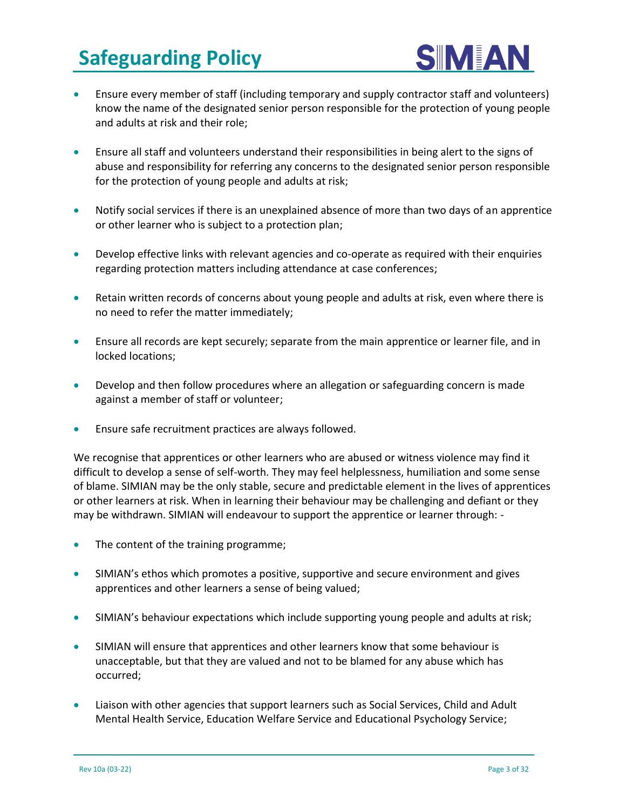

- Ensure every member of staff (including temporary and supply contractor staff and volunteers) know the name of the designated senior person responsible for the protection of young people and adults at risk and their role;
- Ensure all staff and volunteers understand their responsibilities in being alert to the signs of abuse and responsibility for referring any concerns to the designated senior person responsible for the protection of young people and adults at risk;
- Notify social services if there is an unexplained absence of more than two days of an apprentice or other learner who is subject to a protection plan;
- Develop effective links with relevant agencies and co-operate as required with their enquiries regarding protection matters including attendance at case conferences;
- Retain written records of concerns about young people and adults at risk, even where there is no need to refer the matter immediately;
- Ensure all records are kept securely; separate from the main apprentice or learner file, and in locked locations;
- Develop and then follow procedures where an allegation or safeguarding concern is made against a member of staff or volunteer;
- Ensure safe recruitment practices are always followed.

We recognise that apprentices or other learners who are abused or witness violence may find it difficult to develop a sense of self-worth. They may feel helplessness, humiliation and some sense of blame. SIMIAN may be the only stable, secure and predictable element in the lives of apprentices or other learners at risk. When in learning their behaviour may be challenging and defiant or they may be withdrawn. SIMIAN will endeavour to support the apprentice or learner through: -

- The content of the training programme;
- SIMIAN's ethos which promotes a positive, supportive and secure environment and gives apprentices and other learners a sense of being valued;
- SIMIAN's behaviour expectations which include supporting young people and adults at risk;
- SIMIAN will ensure that apprentices and other learners know that some behaviour is unacceptable, but that they are valued and not to be blamed for any abuse which has occurred;
- Liaison with other agencies that support learners such as Social Services, Child and Adult Mental Health Service, Education Welfare Service and Educational Psychology Service;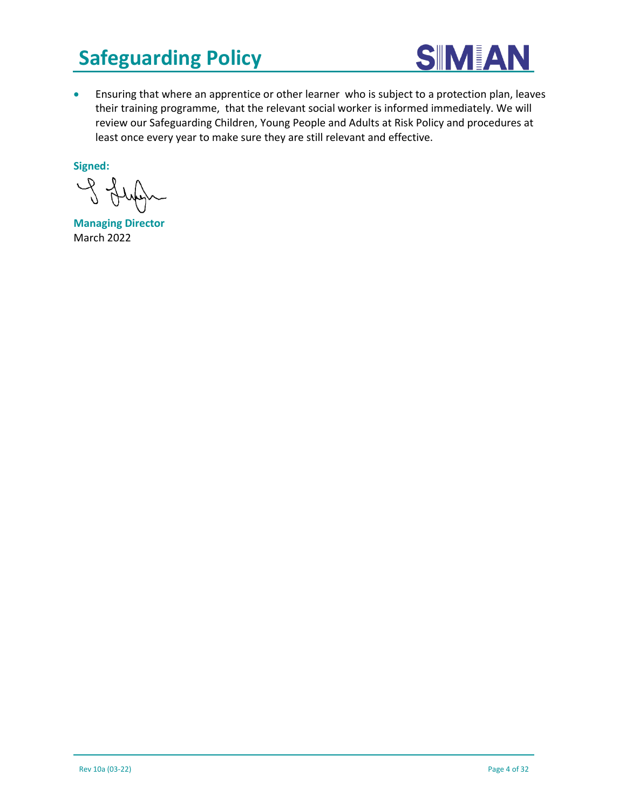

• Ensuring that where an apprentice or other learner who is subject to a protection plan, leaves their training programme, that the relevant social worker is informed immediately. We will review our Safeguarding Children, Young People and Adults at Risk Policy and procedures at least once every year to make sure they are still relevant and effective.

**Signed:** 

 $P_{\text{A}}$ 

**Managing Director** March 2022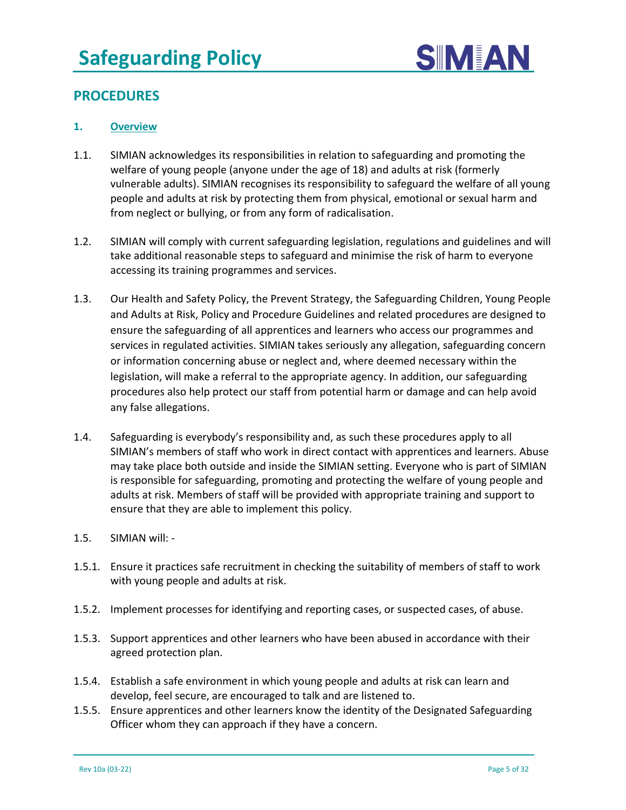

#### **PROCEDURES**

#### **1. Overview**

- 1.1. SIMIAN acknowledges its responsibilities in relation to safeguarding and promoting the welfare of young people (anyone under the age of 18) and adults at risk (formerly vulnerable adults). SIMIAN recognises its responsibility to safeguard the welfare of all young people and adults at risk by protecting them from physical, emotional or sexual harm and from neglect or bullying, or from any form of radicalisation.
- 1.2. SIMIAN will comply with current safeguarding legislation, regulations and guidelines and will take additional reasonable steps to safeguard and minimise the risk of harm to everyone accessing its training programmes and services.
- 1.3. Our Health and Safety Policy, the Prevent Strategy, the Safeguarding Children, Young People and Adults at Risk, Policy and Procedure Guidelines and related procedures are designed to ensure the safeguarding of all apprentices and learners who access our programmes and services in regulated activities. SIMIAN takes seriously any allegation, safeguarding concern or information concerning abuse or neglect and, where deemed necessary within the legislation, will make a referral to the appropriate agency. In addition, our safeguarding procedures also help protect our staff from potential harm or damage and can help avoid any false allegations.
- 1.4. Safeguarding is everybody's responsibility and, as such these procedures apply to all SIMIAN's members of staff who work in direct contact with apprentices and learners. Abuse may take place both outside and inside the SIMIAN setting. Everyone who is part of SIMIAN is responsible for safeguarding, promoting and protecting the welfare of young people and adults at risk. Members of staff will be provided with appropriate training and support to ensure that they are able to implement this policy.
- 1.5. SIMIAN will: -
- 1.5.1. Ensure it practices safe recruitment in checking the suitability of members of staff to work with young people and adults at risk.
- 1.5.2. Implement processes for identifying and reporting cases, or suspected cases, of abuse.
- 1.5.3. Support apprentices and other learners who have been abused in accordance with their agreed protection plan.
- 1.5.4. Establish a safe environment in which young people and adults at risk can learn and develop, feel secure, are encouraged to talk and are listened to.
- 1.5.5. Ensure apprentices and other learners know the identity of the Designated Safeguarding Officer whom they can approach if they have a concern.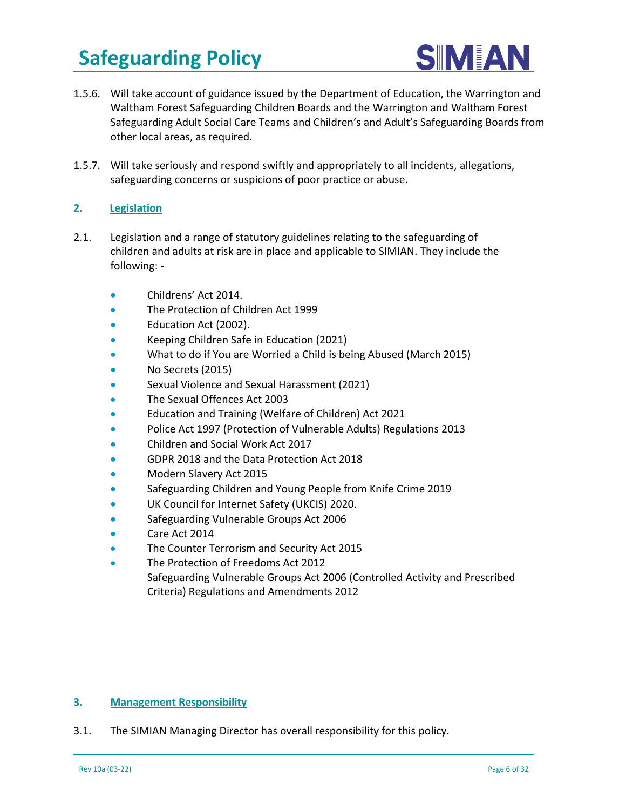

- 1.5.6. Will take account of guidance issued by the Department of Education, the Warrington and Waltham Forest Safeguarding Children Boards and the Warrington and Waltham Forest Safeguarding Adult Social Care Teams and Children's and Adult's Safeguarding Boards from other local areas, as required.
- 1.5.7. Will take seriously and respond swiftly and appropriately to all incidents, allegations, safeguarding concerns or suspicions of poor practice or abuse.

#### **2. Legislation**

- 2.1. Legislation and a range of statutory guidelines relating to the safeguarding of children and adults at risk are in place and applicable to SIMIAN. They include the following: -
	- Childrens' Act 2014.
	- The Protection of Children Act 1999
	- Education Act (2002).
	- Keeping Children Safe in Education (2021)
	- What to do if You are Worried a Child is being Abused (March 2015)
	- No Secrets (2015)
	- Sexual Violence and Sexual Harassment (2021)
	- The Sexual Offences Act 2003
	- Education and Training (Welfare of Children) Act 2021
	- Police Act 1997 (Protection of Vulnerable Adults) Regulations 2013
	- Children and Social Work Act 2017
	- GDPR 2018 and the Data Protection Act 2018
	- Modern Slavery Act 2015
	- Safeguarding Children and Young People from Knife Crime 2019
	- UK Council for Internet Safety (UKCIS) 2020.
	- Safeguarding Vulnerable Groups Act 2006
	- Care Act 2014
	- The Counter Terrorism and Security Act 2015
	- The Protection of Freedoms Act 2012 Safeguarding Vulnerable Groups Act 2006 (Controlled Activity and Prescribed Criteria) Regulations and Amendments 2012

#### **3. Management Responsibility**

3.1. The SIMIAN Managing Director has overall responsibility for this policy.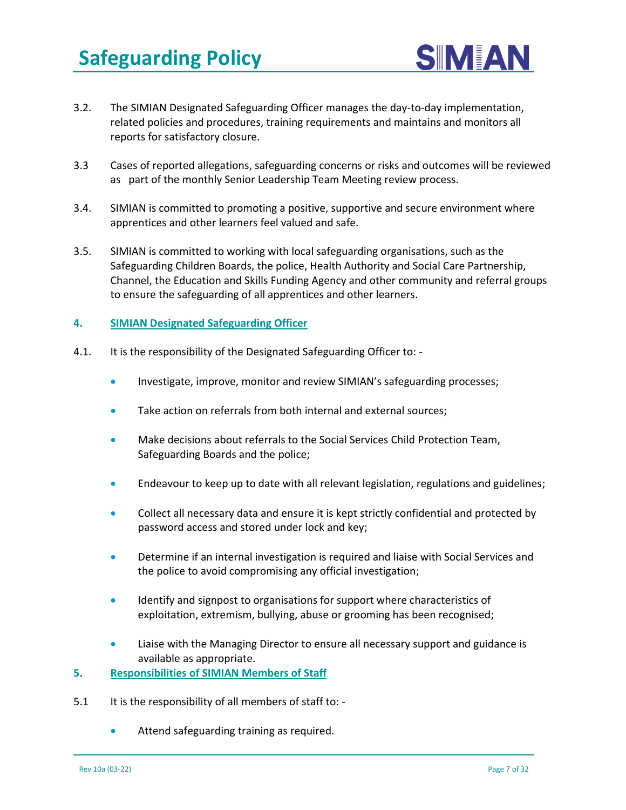

- 3.2. The SIMIAN Designated Safeguarding Officer manages the day-to-day implementation, related policies and procedures, training requirements and maintains and monitors all reports for satisfactory closure.
- 3.3 Cases of reported allegations, safeguarding concerns or risks and outcomes will be reviewed as part of the monthly Senior Leadership Team Meeting review process.
- 3.4. SIMIAN is committed to promoting a positive, supportive and secure environment where apprentices and other learners feel valued and safe.
- 3.5. SIMIAN is committed to working with local safeguarding organisations, such as the Safeguarding Children Boards, the police, Health Authority and Social Care Partnership, Channel, the Education and Skills Funding Agency and other community and referral groups to ensure the safeguarding of all apprentices and other learners.

#### **4. SIMIAN Designated Safeguarding Officer**

- 4.1. It is the responsibility of the Designated Safeguarding Officer to:
	- Investigate, improve, monitor and review SIMIAN's safeguarding processes;
	- Take action on referrals from both internal and external sources;
	- Make decisions about referrals to the Social Services Child Protection Team, Safeguarding Boards and the police;
	- Endeavour to keep up to date with all relevant legislation, regulations and guidelines;
	- Collect all necessary data and ensure it is kept strictly confidential and protected by password access and stored under lock and key;
	- Determine if an internal investigation is required and liaise with Social Services and the police to avoid compromising any official investigation;
	- Identify and signpost to organisations for support where characteristics of exploitation, extremism, bullying, abuse or grooming has been recognised;
	- Liaise with the Managing Director to ensure all necessary support and guidance is available as appropriate.
- **5. Responsibilities of SIMIAN Members of Staff**
- 5.1 It is the responsibility of all members of staff to: -
	- Attend safeguarding training as required.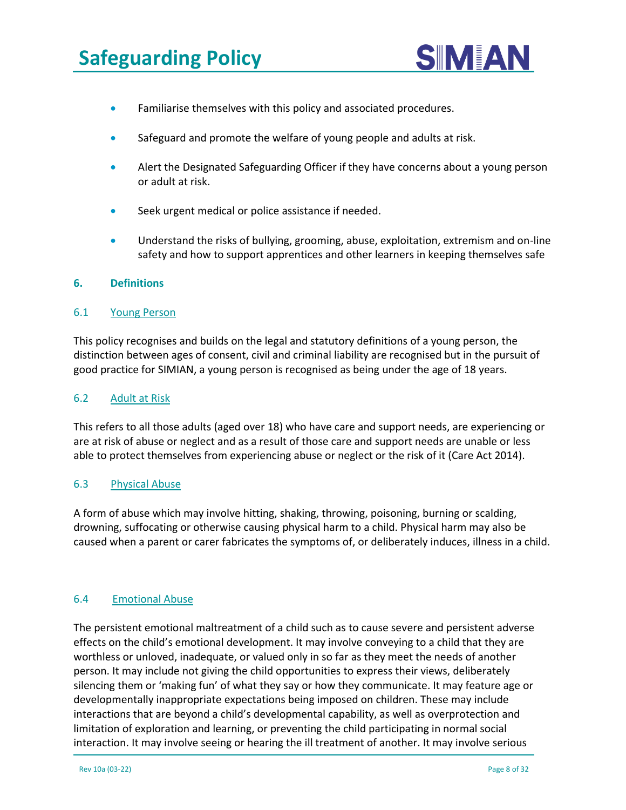

- Familiarise themselves with this policy and associated procedures.
- Safeguard and promote the welfare of young people and adults at risk.
- Alert the Designated Safeguarding Officer if they have concerns about a young person or adult at risk.
- Seek urgent medical or police assistance if needed.
- Understand the risks of bullying, grooming, abuse, exploitation, extremism and on-line safety and how to support apprentices and other learners in keeping themselves safe

#### **6. Definitions**

#### 6.1 Young Person

This policy recognises and builds on the legal and statutory definitions of a young person, the distinction between ages of consent, civil and criminal liability are recognised but in the pursuit of good practice for SIMIAN, a young person is recognised as being under the age of 18 years.

#### 6.2 Adult at Risk

This refers to all those adults (aged over 18) who have care and support needs, are experiencing or are at risk of abuse or neglect and as a result of those care and support needs are unable or less able to protect themselves from experiencing abuse or neglect or the risk of it (Care Act 2014).

#### 6.3 Physical Abuse

A form of abuse which may involve hitting, shaking, throwing, poisoning, burning or scalding, drowning, suffocating or otherwise causing physical harm to a child. Physical harm may also be caused when a parent or carer fabricates the symptoms of, or deliberately induces, illness in a child.

#### 6.4 Emotional Abuse

The persistent emotional maltreatment of a child such as to cause severe and persistent adverse effects on the child's emotional development. It may involve conveying to a child that they are worthless or unloved, inadequate, or valued only in so far as they meet the needs of another person. It may include not giving the child opportunities to express their views, deliberately silencing them or 'making fun' of what they say or how they communicate. It may feature age or developmentally inappropriate expectations being imposed on children. These may include interactions that are beyond a child's developmental capability, as well as overprotection and limitation of exploration and learning, or preventing the child participating in normal social interaction. It may involve seeing or hearing the ill treatment of another. It may involve serious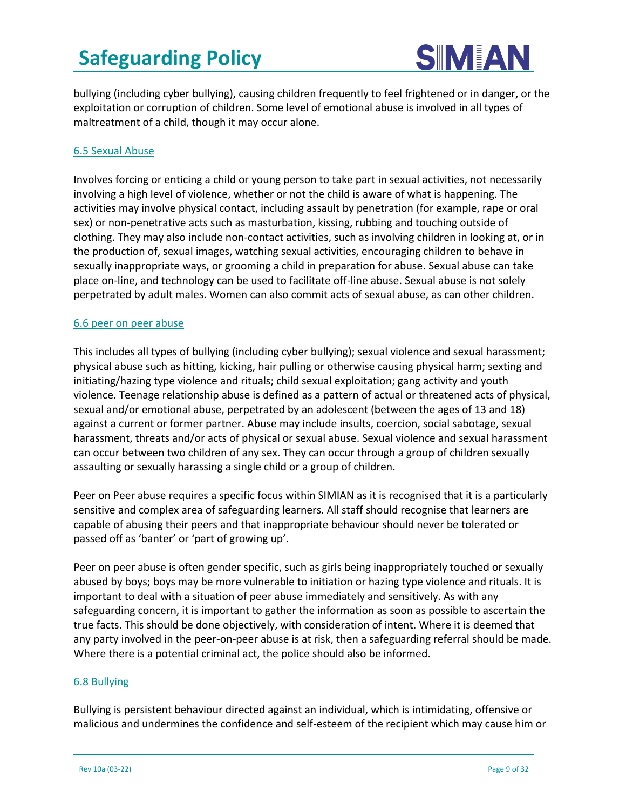

bullying (including cyber bullying), causing children frequently to feel frightened or in danger, or the exploitation or corruption of children. Some level of emotional abuse is involved in all types of maltreatment of a child, though it may occur alone.

#### 6.5 Sexual Abuse

Involves forcing or enticing a child or young person to take part in sexual activities, not necessarily involving a high level of violence, whether or not the child is aware of what is happening. The activities may involve physical contact, including assault by penetration (for example, rape or oral sex) or non-penetrative acts such as masturbation, kissing, rubbing and touching outside of clothing. They may also include non-contact activities, such as involving children in looking at, or in the production of, sexual images, watching sexual activities, encouraging children to behave in sexually inappropriate ways, or grooming a child in preparation for abuse. Sexual abuse can take place on-line, and technology can be used to facilitate off-line abuse. Sexual abuse is not solely perpetrated by adult males. Women can also commit acts of sexual abuse, as can other children.

#### 6.6 peer on peer abuse

This includes all types of bullying (including cyber bullying); sexual violence and sexual harassment; physical abuse such as hitting, kicking, hair pulling or otherwise causing physical harm; sexting and initiating/hazing type violence and rituals; child sexual exploitation; gang activity and youth violence. Teenage relationship abuse is defined as a pattern of actual or threatened acts of physical, sexual and/or emotional abuse, perpetrated by an adolescent (between the ages of 13 and 18) against a current or former partner. Abuse may include insults, coercion, social sabotage, sexual harassment, threats and/or acts of physical or sexual abuse. Sexual violence and sexual harassment can occur between two children of any sex. They can occur through a group of children sexually assaulting or sexually harassing a single child or a group of children.

Peer on Peer abuse requires a specific focus within SIMIAN as it is recognised that it is a particularly sensitive and complex area of safeguarding learners. All staff should recognise that learners are capable of abusing their peers and that inappropriate behaviour should never be tolerated or passed off as 'banter' or 'part of growing up'.

Peer on peer abuse is often gender specific, such as girls being inappropriately touched or sexually abused by boys; boys may be more vulnerable to initiation or hazing type violence and rituals. It is important to deal with a situation of peer abuse immediately and sensitively. As with any safeguarding concern, it is important to gather the information as soon as possible to ascertain the true facts. This should be done objectively, with consideration of intent. Where it is deemed that any party involved in the peer-on-peer abuse is at risk, then a safeguarding referral should be made. Where there is a potential criminal act, the police should also be informed.

#### 6.8 Bullying

Bullying is persistent behaviour directed against an individual, which is intimidating, offensive or malicious and undermines the confidence and self-esteem of the recipient which may cause him or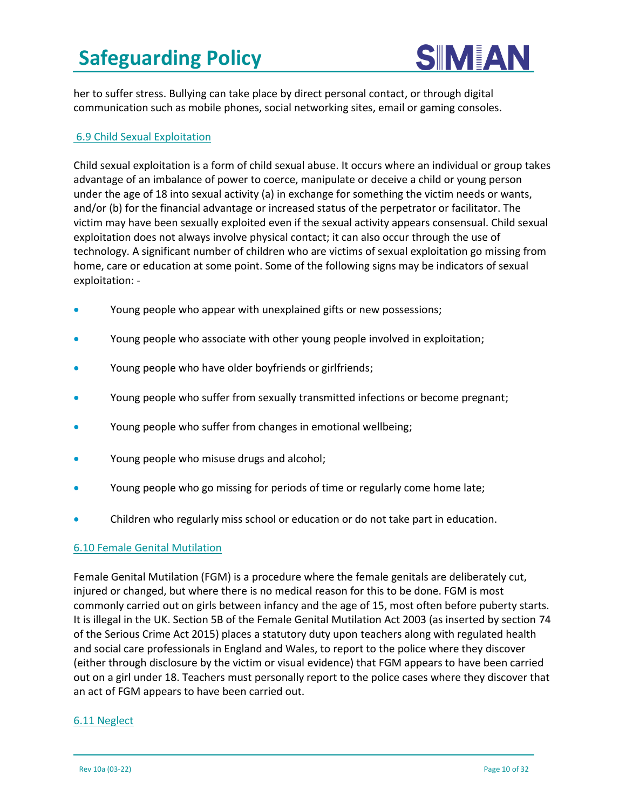

her to suffer stress. Bullying can take place by direct personal contact, or through digital communication such as mobile phones, social networking sites, email or gaming consoles.

#### 6.9 Child Sexual Exploitation

Child sexual exploitation is a form of child sexual abuse. It occurs where an individual or group takes advantage of an imbalance of power to coerce, manipulate or deceive a child or young person under the age of 18 into sexual activity (a) in exchange for something the victim needs or wants, and/or (b) for the financial advantage or increased status of the perpetrator or facilitator. The victim may have been sexually exploited even if the sexual activity appears consensual. Child sexual exploitation does not always involve physical contact; it can also occur through the use of technology. A significant number of children who are victims of sexual exploitation go missing from home, care or education at some point. Some of the following signs may be indicators of sexual exploitation: -

- Young people who appear with unexplained gifts or new possessions;
- Young people who associate with other young people involved in exploitation;
- Young people who have older boyfriends or girlfriends;
- Young people who suffer from sexually transmitted infections or become pregnant;
- Young people who suffer from changes in emotional wellbeing;
- Young people who misuse drugs and alcohol;
- Young people who go missing for periods of time or regularly come home late;
- Children who regularly miss school or education or do not take part in education.

#### 6.10 Female Genital Mutilation

Female Genital Mutilation (FGM) is a procedure where the female genitals are deliberately cut, injured or changed, but where there is no medical reason for this to be done. FGM is most commonly carried out on girls between infancy and the age of 15, most often before puberty starts. It is illegal in the UK. Section 5B of the Female Genital Mutilation Act 2003 (as inserted by section 74 of the Serious Crime Act 2015) places a statutory duty upon teachers along with regulated health and social care professionals in England and Wales, to report to the police where they discover (either through disclosure by the victim or visual evidence) that FGM appears to have been carried out on a girl under 18. Teachers must personally report to the police cases where they discover that an act of FGM appears to have been carried out.

#### 6.11 Neglect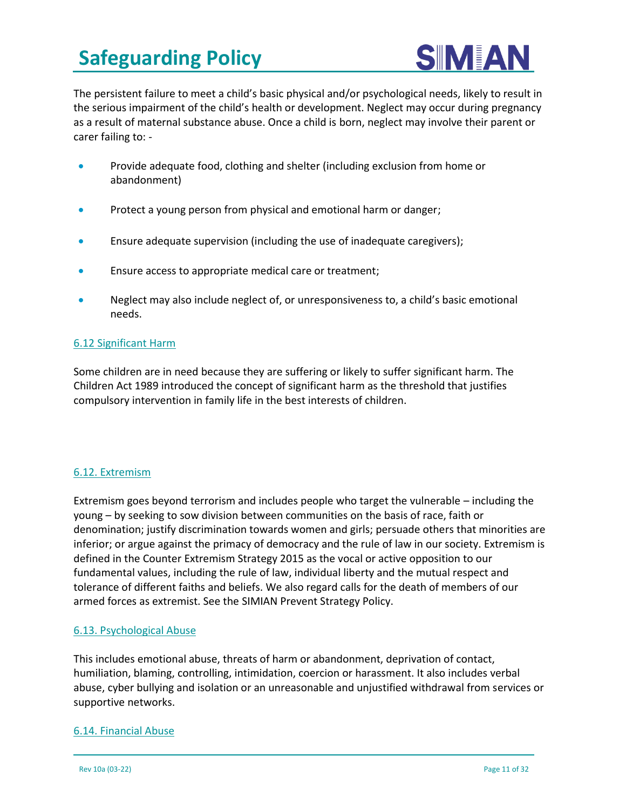

The persistent failure to meet a child's basic physical and/or psychological needs, likely to result in the serious impairment of the child's health or development. Neglect may occur during pregnancy as a result of maternal substance abuse. Once a child is born, neglect may involve their parent or carer failing to: -

- Provide adequate food, clothing and shelter (including exclusion from home or abandonment)
- Protect a young person from physical and emotional harm or danger;
- Ensure adequate supervision (including the use of inadequate caregivers);
- Ensure access to appropriate medical care or treatment;
- Neglect may also include neglect of, or unresponsiveness to, a child's basic emotional needs.

#### 6.12 Significant Harm

Some children are in need because they are suffering or likely to suffer significant harm. The Children Act 1989 introduced the concept of significant harm as the threshold that justifies compulsory intervention in family life in the best interests of children.

#### 6.12. Extremism

Extremism goes beyond terrorism and includes people who target the vulnerable – including the young – by seeking to sow division between communities on the basis of race, faith or denomination; justify discrimination towards women and girls; persuade others that minorities are inferior; or argue against the primacy of democracy and the rule of law in our society. Extremism is defined in the Counter Extremism Strategy 2015 as the vocal or active opposition to our fundamental values, including the rule of law, individual liberty and the mutual respect and tolerance of different faiths and beliefs. We also regard calls for the death of members of our armed forces as extremist. See the SIMIAN Prevent Strategy Policy.

#### 6.13. Psychological Abuse

This includes emotional abuse, threats of harm or abandonment, deprivation of contact, humiliation, blaming, controlling, intimidation, coercion or harassment. It also includes verbal abuse, cyber bullying and isolation or an unreasonable and unjustified withdrawal from services or supportive networks.

#### 6.14. Financial Abuse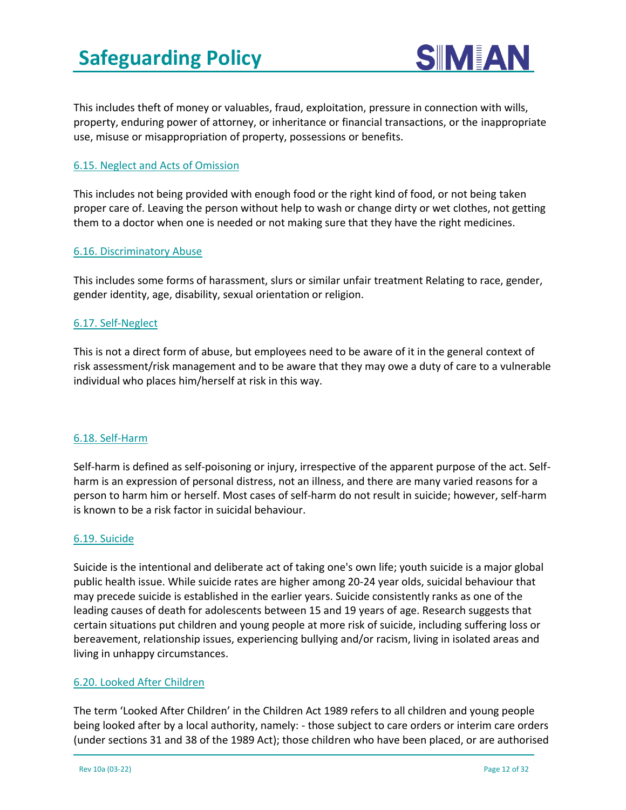

This includes theft of money or valuables, fraud, exploitation, pressure in connection with wills, property, enduring power of attorney, or inheritance or financial transactions, or the inappropriate use, misuse or misappropriation of property, possessions or benefits.

#### 6.15. Neglect and Acts of Omission

This includes not being provided with enough food or the right kind of food, or not being taken proper care of. Leaving the person without help to wash or change dirty or wet clothes, not getting them to a doctor when one is needed or not making sure that they have the right medicines.

#### 6.16. Discriminatory Abuse

This includes some forms of harassment, slurs or similar unfair treatment Relating to race, gender, gender identity, age, disability, sexual orientation or religion.

#### 6.17. Self-Neglect

This is not a direct form of abuse, but employees need to be aware of it in the general context of risk assessment/risk management and to be aware that they may owe a duty of care to a vulnerable individual who places him/herself at risk in this way.

#### 6.18. Self-Harm

Self-harm is defined as self-poisoning or injury, irrespective of the apparent purpose of the act. Selfharm is an expression of personal distress, not an illness, and there are many varied reasons for a person to harm him or herself. Most cases of self-harm do not result in suicide; however, self-harm is known to be a risk factor in suicidal behaviour.

#### 6.19. Suicide

Suicide is the intentional and deliberate act of taking one's own life; youth suicide is a major global public health issue. While suicide rates are higher among 20-24 year olds, suicidal behaviour that may precede suicide is established in the earlier years. Suicide consistently ranks as one of the leading causes of death for adolescents between 15 and 19 years of age. Research suggests that certain situations put children and young people at more risk of suicide, including suffering loss or bereavement, relationship issues, experiencing bullying and/or racism, living in isolated areas and living in unhappy circumstances.

#### 6.20. Looked After Children

The term 'Looked After Children' in the Children Act 1989 refers to all children and young people being looked after by a local authority, namely: - those subject to care orders or interim care orders (under sections 31 and 38 of the 1989 Act); those children who have been placed, or are authorised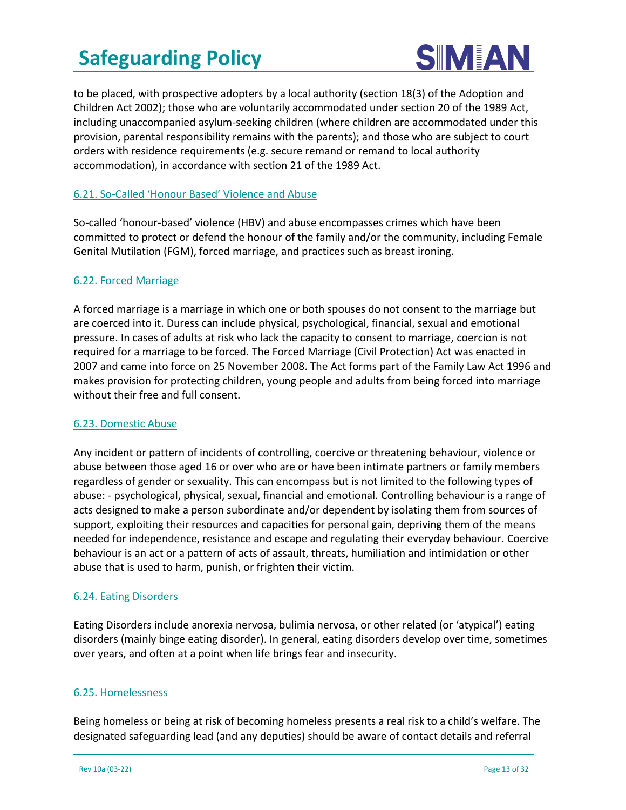

to be placed, with prospective adopters by a local authority (section 18(3) of the Adoption and Children Act 2002); those who are voluntarily accommodated under section 20 of the 1989 Act, including unaccompanied asylum-seeking children (where children are accommodated under this provision, parental responsibility remains with the parents); and those who are subject to court orders with residence requirements (e.g. secure remand or remand to local authority accommodation), in accordance with section 21 of the 1989 Act.

#### 6.21. So-Called 'Honour Based' Violence and Abuse

So-called 'honour-based' violence (HBV) and abuse encompasses crimes which have been committed to protect or defend the honour of the family and/or the community, including Female Genital Mutilation (FGM), forced marriage, and practices such as breast ironing.

#### 6.22. Forced Marriage

A forced marriage is a marriage in which one or both spouses do not consent to the marriage but are coerced into it. Duress can include physical, psychological, financial, sexual and emotional pressure. In cases of adults at risk who lack the capacity to consent to marriage, coercion is not required for a marriage to be forced. The Forced Marriage (Civil Protection) Act was enacted in 2007 and came into force on 25 November 2008. The Act forms part of the Family Law Act 1996 and makes provision for protecting children, young people and adults from being forced into marriage without their free and full consent.

#### 6.23. Domestic Abuse

Any incident or pattern of incidents of controlling, coercive or threatening behaviour, violence or abuse between those aged 16 or over who are or have been intimate partners or family members regardless of gender or sexuality. This can encompass but is not limited to the following types of abuse: - psychological, physical, sexual, financial and emotional. Controlling behaviour is a range of acts designed to make a person subordinate and/or dependent by isolating them from sources of support, exploiting their resources and capacities for personal gain, depriving them of the means needed for independence, resistance and escape and regulating their everyday behaviour. Coercive behaviour is an act or a pattern of acts of assault, threats, humiliation and intimidation or other abuse that is used to harm, punish, or frighten their victim.

#### 6.24. Eating Disorders

Eating Disorders include anorexia nervosa, bulimia nervosa, or other related (or 'atypical') eating disorders (mainly binge eating disorder). In general, eating disorders develop over time, sometimes over years, and often at a point when life brings fear and insecurity.

#### 6.25. Homelessness

Being homeless or being at risk of becoming homeless presents a real risk to a child's welfare. The designated safeguarding lead (and any deputies) should be aware of contact details and referral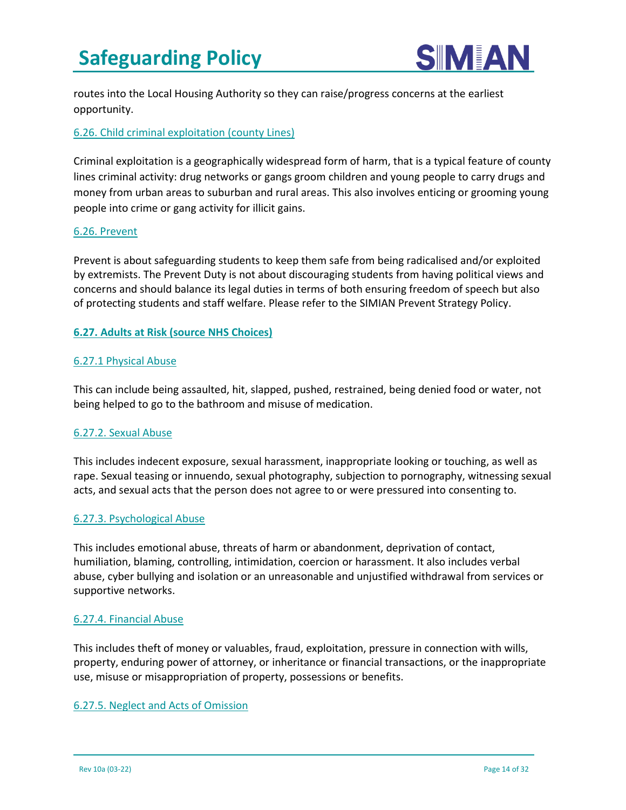

routes into the Local Housing Authority so they can raise/progress concerns at the earliest opportunity.

#### 6.26. Child criminal exploitation (county Lines)

Criminal exploitation is a geographically widespread form of harm, that is a typical feature of county lines criminal activity: drug networks or gangs groom children and young people to carry drugs and money from urban areas to suburban and rural areas. This also involves enticing or grooming young people into crime or gang activity for illicit gains.

#### 6.26. Prevent

Prevent is about safeguarding students to keep them safe from being radicalised and/or exploited by extremists. The Prevent Duty is not about discouraging students from having political views and concerns and should balance its legal duties in terms of both ensuring freedom of speech but also of protecting students and staff welfare. Please refer to the SIMIAN Prevent Strategy Policy.

#### **6.27. Adults at Risk (source NHS Choices)**

#### 6.27.1 Physical Abuse

This can include being assaulted, hit, slapped, pushed, restrained, being denied food or water, not being helped to go to the bathroom and misuse of medication.

#### 6.27.2. Sexual Abuse

This includes indecent exposure, sexual harassment, inappropriate looking or touching, as well as rape. Sexual teasing or innuendo, sexual photography, subjection to pornography, witnessing sexual acts, and sexual acts that the person does not agree to or were pressured into consenting to.

#### 6.27.3. Psychological Abuse

This includes emotional abuse, threats of harm or abandonment, deprivation of contact, humiliation, blaming, controlling, intimidation, coercion or harassment. It also includes verbal abuse, cyber bullying and isolation or an unreasonable and unjustified withdrawal from services or supportive networks.

#### 6.27.4. Financial Abuse

This includes theft of money or valuables, fraud, exploitation, pressure in connection with wills, property, enduring power of attorney, or inheritance or financial transactions, or the inappropriate use, misuse or misappropriation of property, possessions or benefits.

#### 6.27.5. Neglect and Acts of Omission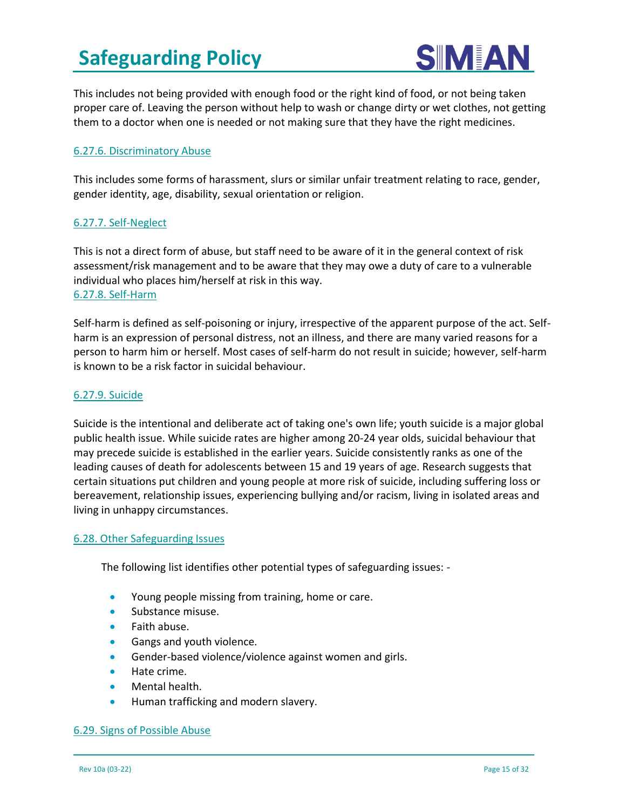

This includes not being provided with enough food or the right kind of food, or not being taken proper care of. Leaving the person without help to wash or change dirty or wet clothes, not getting them to a doctor when one is needed or not making sure that they have the right medicines.

#### 6.27.6. Discriminatory Abuse

This includes some forms of harassment, slurs or similar unfair treatment relating to race, gender, gender identity, age, disability, sexual orientation or religion.

#### 6.27.7. Self-Neglect

This is not a direct form of abuse, but staff need to be aware of it in the general context of risk assessment/risk management and to be aware that they may owe a duty of care to a vulnerable individual who places him/herself at risk in this way. 6.27.8. Self-Harm

Self-harm is defined as self-poisoning or injury, irrespective of the apparent purpose of the act. Selfharm is an expression of personal distress, not an illness, and there are many varied reasons for a person to harm him or herself. Most cases of self-harm do not result in suicide; however, self-harm is known to be a risk factor in suicidal behaviour.

#### 6.27.9. Suicide

Suicide is the intentional and deliberate act of taking one's own life; youth suicide is a major global public health issue. While suicide rates are higher among 20-24 year olds, suicidal behaviour that may precede suicide is established in the earlier years. Suicide consistently ranks as one of the leading causes of death for adolescents between 15 and 19 years of age. Research suggests that certain situations put children and young people at more risk of suicide, including suffering loss or bereavement, relationship issues, experiencing bullying and/or racism, living in isolated areas and living in unhappy circumstances.

#### 6.28. Other Safeguarding Issues

The following list identifies other potential types of safeguarding issues: -

- Young people missing from training, home or care.
- Substance misuse.
- Faith abuse.
- Gangs and youth violence.
- Gender-based violence/violence against women and girls.
- Hate crime.
- Mental health.
- Human trafficking and modern slavery.

#### 6.29. Signs of Possible Abuse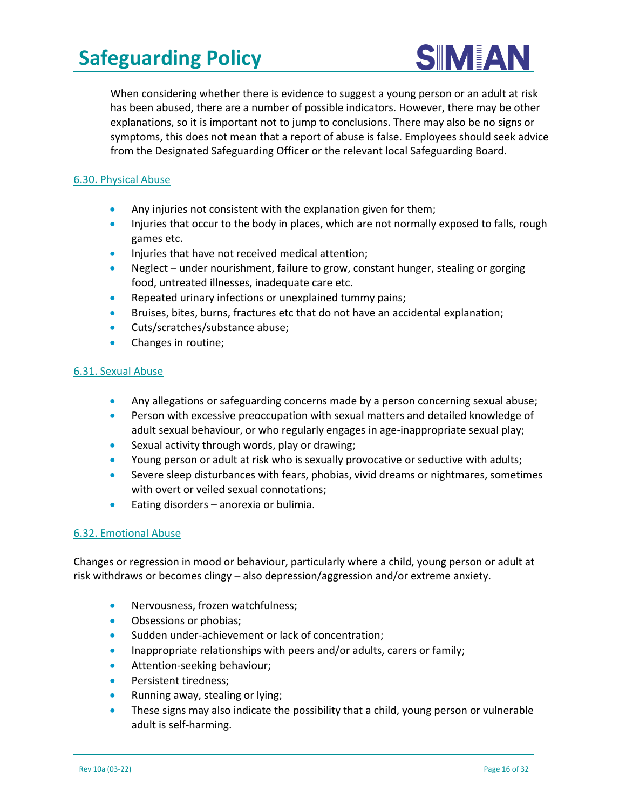

When considering whether there is evidence to suggest a young person or an adult at risk has been abused, there are a number of possible indicators. However, there may be other explanations, so it is important not to jump to conclusions. There may also be no signs or symptoms, this does not mean that a report of abuse is false. Employees should seek advice from the Designated Safeguarding Officer or the relevant local Safeguarding Board.

#### 6.30. Physical Abuse

- Any injuries not consistent with the explanation given for them;
- Injuries that occur to the body in places, which are not normally exposed to falls, rough games etc.
- Injuries that have not received medical attention;
- Neglect under nourishment, failure to grow, constant hunger, stealing or gorging food, untreated illnesses, inadequate care etc.
- Repeated urinary infections or unexplained tummy pains;
- Bruises, bites, burns, fractures etc that do not have an accidental explanation;
- Cuts/scratches/substance abuse;
- Changes in routine;

#### 6.31. Sexual Abuse

- Any allegations or safeguarding concerns made by a person concerning sexual abuse;
- Person with excessive preoccupation with sexual matters and detailed knowledge of adult sexual behaviour, or who regularly engages in age-inappropriate sexual play;
- Sexual activity through words, play or drawing;
- Young person or adult at risk who is sexually provocative or seductive with adults;
- Severe sleep disturbances with fears, phobias, vivid dreams or nightmares, sometimes with overt or veiled sexual connotations;
- Eating disorders anorexia or bulimia.

#### 6.32. Emotional Abuse

Changes or regression in mood or behaviour, particularly where a child, young person or adult at risk withdraws or becomes clingy – also depression/aggression and/or extreme anxiety.

- Nervousness, frozen watchfulness;
- Obsessions or phobias:
- Sudden under-achievement or lack of concentration;
- Inappropriate relationships with peers and/or adults, carers or family;
- Attention-seeking behaviour;
- Persistent tiredness;
- Running away, stealing or lying;
- These signs may also indicate the possibility that a child, young person or vulnerable adult is self-harming.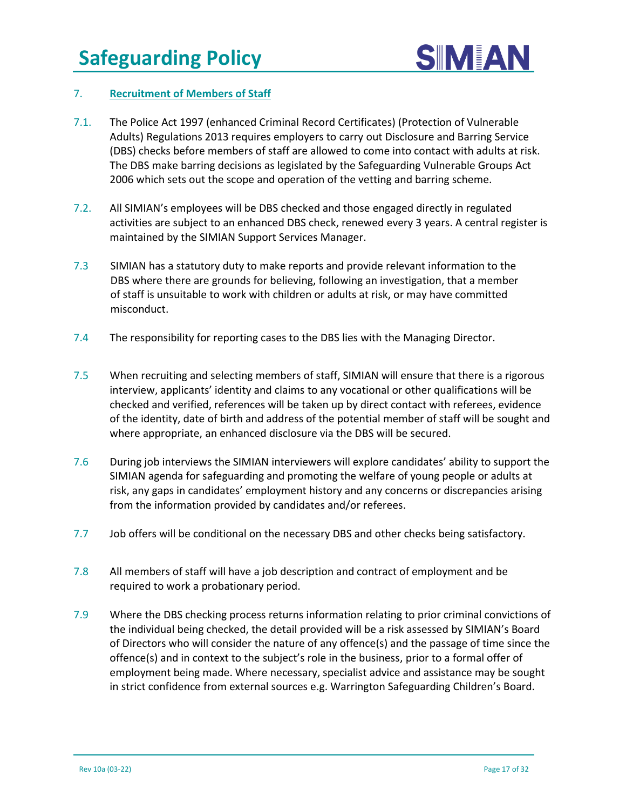

#### 7. **Recruitment of Members of Staff**

- 7.1. The Police Act 1997 (enhanced Criminal Record Certificates) (Protection of Vulnerable Adults) Regulations 2013 requires employers to carry out Disclosure and Barring Service (DBS) checks before members of staff are allowed to come into contact with adults at risk. The DBS make barring decisions as legislated by the Safeguarding Vulnerable Groups Act 2006 which sets out the scope and operation of the vetting and barring scheme.
- 7.2. All SIMIAN's employees will be DBS checked and those engaged directly in regulated activities are subject to an enhanced DBS check, renewed every 3 years. A central register is maintained by the SIMIAN Support Services Manager.
- 7.3 SIMIAN has a statutory duty to make reports and provide relevant information to the DBS where there are grounds for believing, following an investigation, that a member of staff is unsuitable to work with children or adults at risk, or may have committed misconduct.
- 7.4 The responsibility for reporting cases to the DBS lies with the Managing Director.
- 7.5 When recruiting and selecting members of staff, SIMIAN will ensure that there is a rigorous interview, applicants' identity and claims to any vocational or other qualifications will be checked and verified, references will be taken up by direct contact with referees, evidence of the identity, date of birth and address of the potential member of staff will be sought and where appropriate, an enhanced disclosure via the DBS will be secured.
- 7.6 During job interviews the SIMIAN interviewers will explore candidates' ability to support the SIMIAN agenda for safeguarding and promoting the welfare of young people or adults at risk, any gaps in candidates' employment history and any concerns or discrepancies arising from the information provided by candidates and/or referees.
- 7.7 Job offers will be conditional on the necessary DBS and other checks being satisfactory.
- 7.8 All members of staff will have a job description and contract of employment and be required to work a probationary period.
- 7.9 Where the DBS checking process returns information relating to prior criminal convictions of the individual being checked, the detail provided will be a risk assessed by SIMIAN's Board of Directors who will consider the nature of any offence(s) and the passage of time since the offence(s) and in context to the subject's role in the business, prior to a formal offer of employment being made. Where necessary, specialist advice and assistance may be sought in strict confidence from external sources e.g. Warrington Safeguarding Children's Board.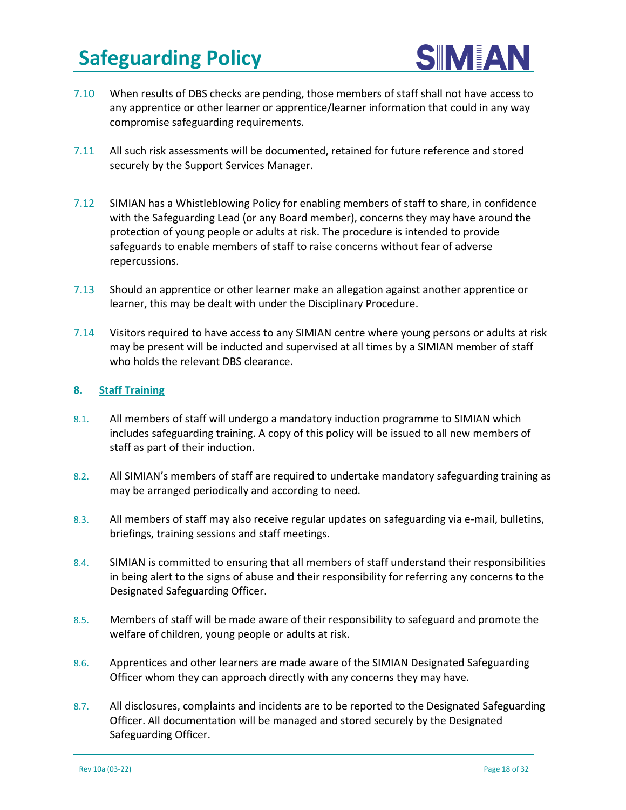

- 7.10 When results of DBS checks are pending, those members of staff shall not have access to any apprentice or other learner or apprentice/learner information that could in any way compromise safeguarding requirements.
- 7.11 All such risk assessments will be documented, retained for future reference and stored securely by the Support Services Manager.
- 7.12 SIMIAN has a Whistleblowing Policy for enabling members of staff to share, in confidence with the Safeguarding Lead (or any Board member), concerns they may have around the protection of young people or adults at risk. The procedure is intended to provide safeguards to enable members of staff to raise concerns without fear of adverse repercussions.
- 7.13 Should an apprentice or other learner make an allegation against another apprentice or learner, this may be dealt with under the Disciplinary Procedure.
- 7.14 Visitors required to have access to any SIMIAN centre where young persons or adults at risk may be present will be inducted and supervised at all times by a SIMIAN member of staff who holds the relevant DBS clearance.

#### **8. Staff Training**

- 8.1. All members of staff will undergo a mandatory induction programme to SIMIAN which includes safeguarding training. A copy of this policy will be issued to all new members of staff as part of their induction.
- 8.2. All SIMIAN's members of staff are required to undertake mandatory safeguarding training as may be arranged periodically and according to need.
- 8.3. All members of staff may also receive regular updates on safeguarding via e-mail, bulletins, briefings, training sessions and staff meetings.
- 8.4. SIMIAN is committed to ensuring that all members of staff understand their responsibilities in being alert to the signs of abuse and their responsibility for referring any concerns to the Designated Safeguarding Officer.
- 8.5. Members of staff will be made aware of their responsibility to safeguard and promote the welfare of children, young people or adults at risk.
- 8.6. Apprentices and other learners are made aware of the SIMIAN Designated Safeguarding Officer whom they can approach directly with any concerns they may have.
- 8.7. All disclosures, complaints and incidents are to be reported to the Designated Safeguarding Officer. All documentation will be managed and stored securely by the Designated Safeguarding Officer.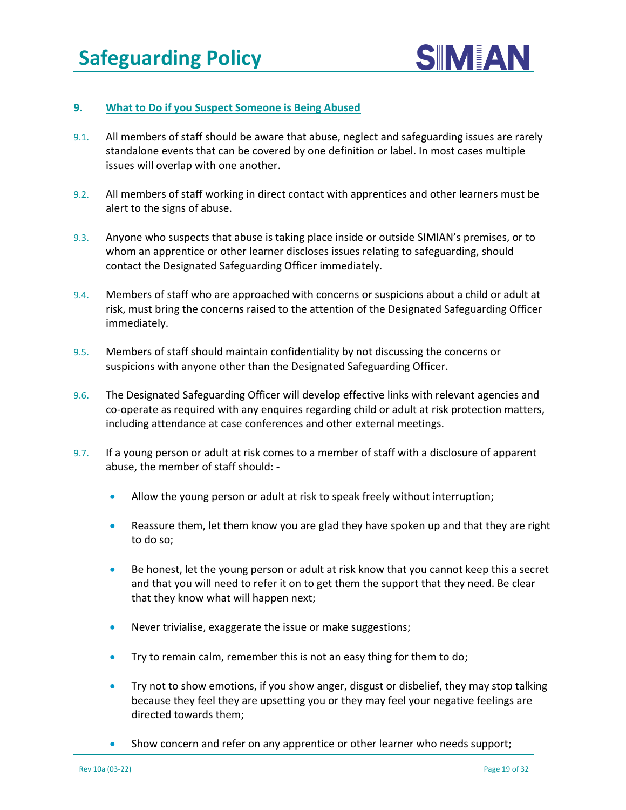

#### **9. What to Do if you Suspect Someone is Being Abused**

- 9.1. All members of staff should be aware that abuse, neglect and safeguarding issues are rarely standalone events that can be covered by one definition or label. In most cases multiple issues will overlap with one another.
- 9.2. All members of staff working in direct contact with apprentices and other learners must be alert to the signs of abuse.
- 9.3. Anyone who suspects that abuse is taking place inside or outside SIMIAN's premises, or to whom an apprentice or other learner discloses issues relating to safeguarding, should contact the Designated Safeguarding Officer immediately.
- 9.4. Members of staff who are approached with concerns or suspicions about a child or adult at risk, must bring the concerns raised to the attention of the Designated Safeguarding Officer immediately.
- 9.5. Members of staff should maintain confidentiality by not discussing the concerns or suspicions with anyone other than the Designated Safeguarding Officer.
- 9.6. The Designated Safeguarding Officer will develop effective links with relevant agencies and co-operate as required with any enquires regarding child or adult at risk protection matters, including attendance at case conferences and other external meetings.
- 9.7. If a young person or adult at risk comes to a member of staff with a disclosure of apparent abuse, the member of staff should: -
	- Allow the young person or adult at risk to speak freely without interruption;
	- Reassure them, let them know you are glad they have spoken up and that they are right to do so;
	- Be honest, let the young person or adult at risk know that you cannot keep this a secret and that you will need to refer it on to get them the support that they need. Be clear that they know what will happen next;
	- Never trivialise, exaggerate the issue or make suggestions;
	- Try to remain calm, remember this is not an easy thing for them to do;
	- Try not to show emotions, if you show anger, disgust or disbelief, they may stop talking because they feel they are upsetting you or they may feel your negative feelings are directed towards them;
	- Show concern and refer on any apprentice or other learner who needs support;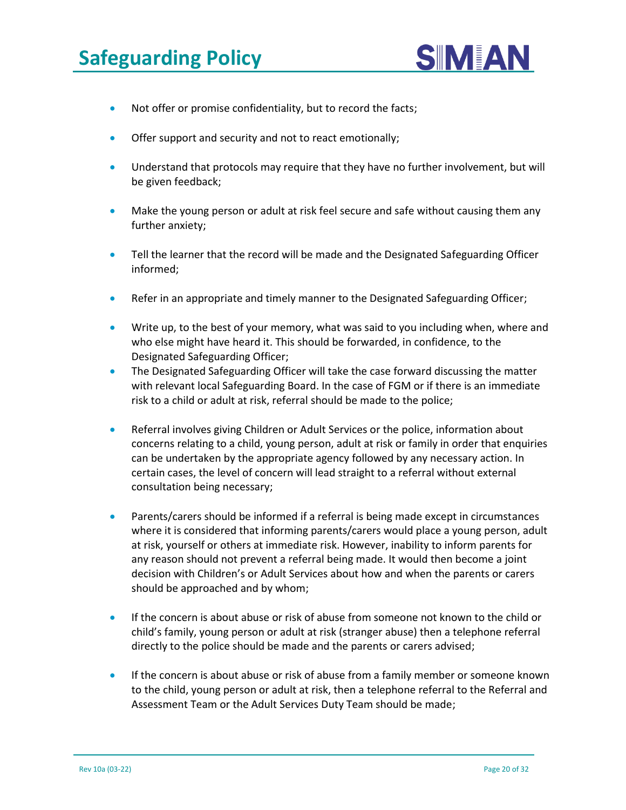

- Not offer or promise confidentiality, but to record the facts;
- Offer support and security and not to react emotionally;
- Understand that protocols may require that they have no further involvement, but will be given feedback;
- Make the young person or adult at risk feel secure and safe without causing them any further anxiety;
- Tell the learner that the record will be made and the Designated Safeguarding Officer informed;
- Refer in an appropriate and timely manner to the Designated Safeguarding Officer;
- Write up, to the best of your memory, what was said to you including when, where and who else might have heard it. This should be forwarded, in confidence, to the Designated Safeguarding Officer;
- The Designated Safeguarding Officer will take the case forward discussing the matter with relevant local Safeguarding Board. In the case of FGM or if there is an immediate risk to a child or adult at risk, referral should be made to the police;
- Referral involves giving Children or Adult Services or the police, information about concerns relating to a child, young person, adult at risk or family in order that enquiries can be undertaken by the appropriate agency followed by any necessary action. In certain cases, the level of concern will lead straight to a referral without external consultation being necessary;
- Parents/carers should be informed if a referral is being made except in circumstances where it is considered that informing parents/carers would place a young person, adult at risk, yourself or others at immediate risk. However, inability to inform parents for any reason should not prevent a referral being made. It would then become a joint decision with Children's or Adult Services about how and when the parents or carers should be approached and by whom;
- If the concern is about abuse or risk of abuse from someone not known to the child or child's family, young person or adult at risk (stranger abuse) then a telephone referral directly to the police should be made and the parents or carers advised;
- If the concern is about abuse or risk of abuse from a family member or someone known to the child, young person or adult at risk, then a telephone referral to the Referral and Assessment Team or the Adult Services Duty Team should be made;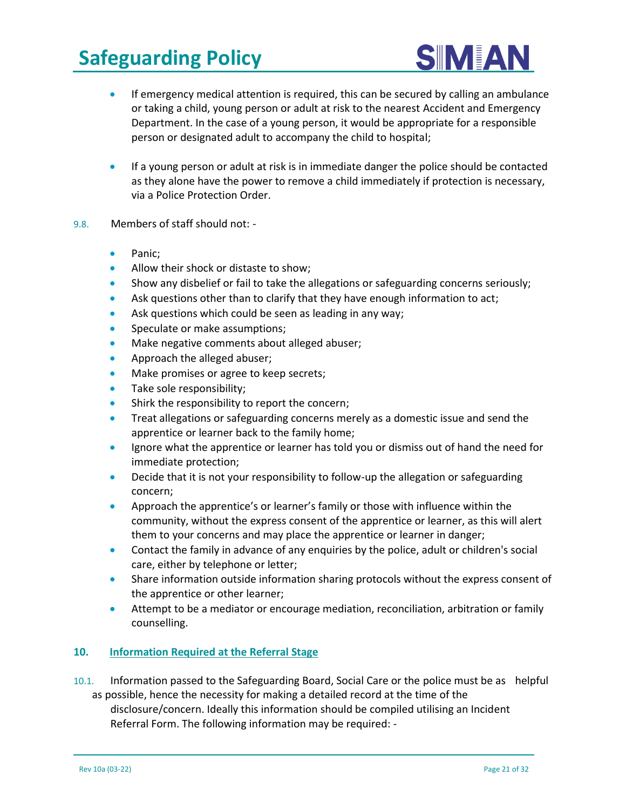

- If emergency medical attention is required, this can be secured by calling an ambulance or taking a child, young person or adult at risk to the nearest Accident and Emergency Department. In the case of a young person, it would be appropriate for a responsible person or designated adult to accompany the child to hospital;
- If a young person or adult at risk is in immediate danger the police should be contacted as they alone have the power to remove a child immediately if protection is necessary, via a Police Protection Order.
- 9.8. Members of staff should not:
	- Panic;
	- Allow their shock or distaste to show;
	- Show any disbelief or fail to take the allegations or safeguarding concerns seriously;
	- Ask questions other than to clarify that they have enough information to act;
	- Ask questions which could be seen as leading in any way;
	- Speculate or make assumptions;
	- Make negative comments about alleged abuser;
	- Approach the alleged abuser;
	- Make promises or agree to keep secrets;
	- Take sole responsibility;
	- Shirk the responsibility to report the concern;
	- Treat allegations or safeguarding concerns merely as a domestic issue and send the apprentice or learner back to the family home;
	- Ignore what the apprentice or learner has told you or dismiss out of hand the need for immediate protection;
	- Decide that it is not your responsibility to follow-up the allegation or safeguarding concern;
	- Approach the apprentice's or learner's family or those with influence within the community, without the express consent of the apprentice or learner, as this will alert them to your concerns and may place the apprentice or learner in danger;
	- Contact the family in advance of any enquiries by the police, adult or children's social care, either by telephone or letter;
	- Share information outside information sharing protocols without the express consent of the apprentice or other learner;
	- Attempt to be a mediator or encourage mediation, reconciliation, arbitration or family counselling.

#### **10. Information Required at the Referral Stage**

10.1. Information passed to the Safeguarding Board, Social Care or the police must be as helpful as possible, hence the necessity for making a detailed record at the time of the disclosure/concern. Ideally this information should be compiled utilising an Incident Referral Form. The following information may be required: -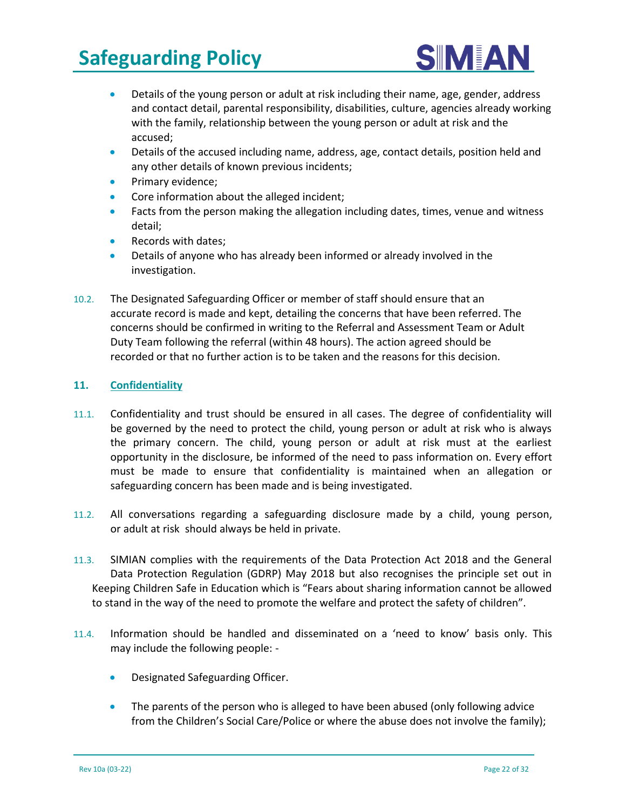

- Details of the young person or adult at risk including their name, age, gender, address and contact detail, parental responsibility, disabilities, culture, agencies already working with the family, relationship between the young person or adult at risk and the accused;
- Details of the accused including name, address, age, contact details, position held and any other details of known previous incidents;
- Primary evidence;
- Core information about the alleged incident;
- Facts from the person making the allegation including dates, times, venue and witness detail;
- Records with dates;
- Details of anyone who has already been informed or already involved in the investigation.
- 10.2. The Designated Safeguarding Officer or member of staff should ensure that an accurate record is made and kept, detailing the concerns that have been referred. The concerns should be confirmed in writing to the Referral and Assessment Team or Adult Duty Team following the referral (within 48 hours). The action agreed should be recorded or that no further action is to be taken and the reasons for this decision*.*

#### **11. Confidentiality**

- 11.1. Confidentiality and trust should be ensured in all cases. The degree of confidentiality will be governed by the need to protect the child, young person or adult at risk who is always the primary concern. The child, young person or adult at risk must at the earliest opportunity in the disclosure, be informed of the need to pass information on. Every effort must be made to ensure that confidentiality is maintained when an allegation or safeguarding concern has been made and is being investigated.
- 11.2. All conversations regarding a safeguarding disclosure made by a child, young person, or adult at risk should always be held in private.
- 11.3. SIMIAN complies with the requirements of the Data Protection Act 2018 and the General Data Protection Regulation (GDRP) May 2018 but also recognises the principle set out in Keeping Children Safe in Education which is "Fears about sharing information cannot be allowed to stand in the way of the need to promote the welfare and protect the safety of children".
- 11.4. Information should be handled and disseminated on a 'need to know' basis only. This may include the following people: -
	- Designated Safeguarding Officer.
	- The parents of the person who is alleged to have been abused (only following advice from the Children's Social Care/Police or where the abuse does not involve the family);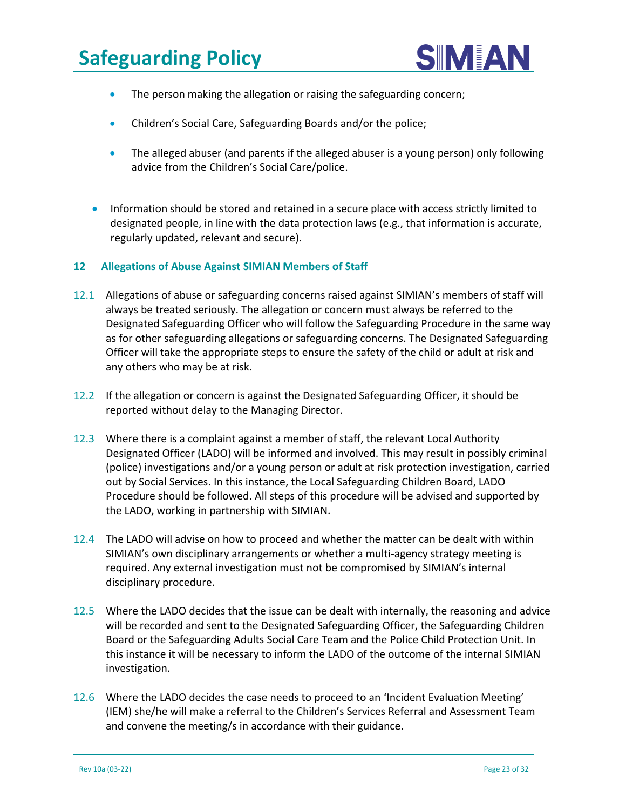

- The person making the allegation or raising the safeguarding concern;
- Children's Social Care, Safeguarding Boards and/or the police;
- The alleged abuser (and parents if the alleged abuser is a young person) only following advice from the Children's Social Care/police.
- Information should be stored and retained in a secure place with access strictly limited to designated people, in line with the data protection laws (e.g., that information is accurate, regularly updated, relevant and secure).

#### **12 Allegations of Abuse Against SIMIAN Members of Staff**

- 12.1 Allegations of abuse or safeguarding concerns raised against SIMIAN's members of staff will always be treated seriously. The allegation or concern must always be referred to the Designated Safeguarding Officer who will follow the Safeguarding Procedure in the same way as for other safeguarding allegations or safeguarding concerns. The Designated Safeguarding Officer will take the appropriate steps to ensure the safety of the child or adult at risk and any others who may be at risk.
- 12.2 If the allegation or concern is against the Designated Safeguarding Officer, it should be reported without delay to the Managing Director.
- 12.3 Where there is a complaint against a member of staff, the relevant Local Authority Designated Officer (LADO) will be informed and involved. This may result in possibly criminal (police) investigations and/or a young person or adult at risk protection investigation, carried out by Social Services. In this instance, the Local Safeguarding Children Board, LADO Procedure should be followed. All steps of this procedure will be advised and supported by the LADO, working in partnership with SIMIAN.
- 12.4 The LADO will advise on how to proceed and whether the matter can be dealt with within SIMIAN's own disciplinary arrangements or whether a multi-agency strategy meeting is required. Any external investigation must not be compromised by SIMIAN's internal disciplinary procedure.
- 12.5 Where the LADO decides that the issue can be dealt with internally, the reasoning and advice will be recorded and sent to the Designated Safeguarding Officer, the Safeguarding Children Board or the Safeguarding Adults Social Care Team and the Police Child Protection Unit. In this instance it will be necessary to inform the LADO of the outcome of the internal SIMIAN investigation.
- 12.6 Where the LADO decides the case needs to proceed to an 'Incident Evaluation Meeting' (IEM) she/he will make a referral to the Children's Services Referral and Assessment Team and convene the meeting/s in accordance with their guidance.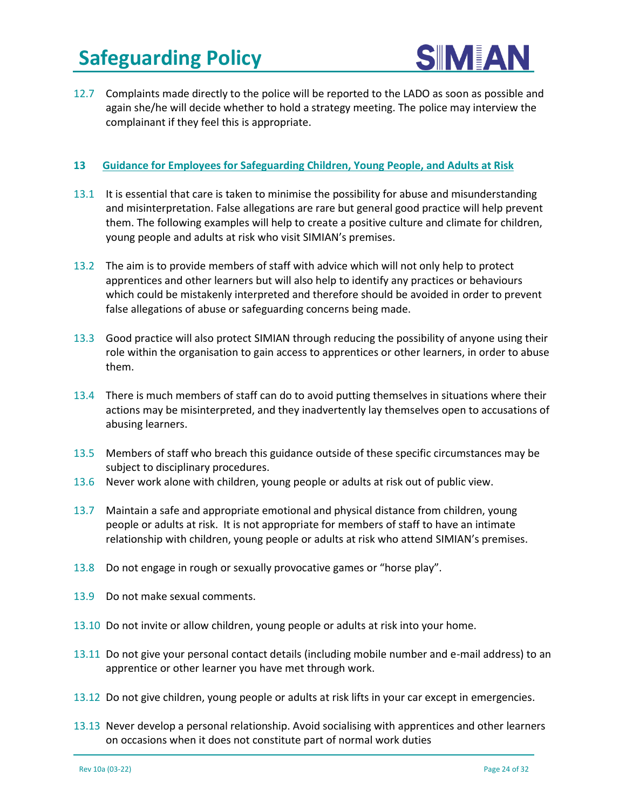

12.7 Complaints made directly to the police will be reported to the LADO as soon as possible and again she/he will decide whether to hold a strategy meeting. The police may interview the complainant if they feel this is appropriate.

#### **13 Guidance for Employees for Safeguarding Children, Young People, and Adults at Risk**

- 13.1 It is essential that care is taken to minimise the possibility for abuse and misunderstanding and misinterpretation. False allegations are rare but general good practice will help prevent them. The following examples will help to create a positive culture and climate for children, young people and adults at risk who visit SIMIAN's premises.
- 13.2 The aim is to provide members of staff with advice which will not only help to protect apprentices and other learners but will also help to identify any practices or behaviours which could be mistakenly interpreted and therefore should be avoided in order to prevent false allegations of abuse or safeguarding concerns being made.
- 13.3 Good practice will also protect SIMIAN through reducing the possibility of anyone using their role within the organisation to gain access to apprentices or other learners, in order to abuse them.
- 13.4 There is much members of staff can do to avoid putting themselves in situations where their actions may be misinterpreted, and they inadvertently lay themselves open to accusations of abusing learners.
- 13.5 Members of staff who breach this guidance outside of these specific circumstances may be subject to disciplinary procedures.
- 13.6 Never work alone with children, young people or adults at risk out of public view.
- 13.7 Maintain a safe and appropriate emotional and physical distance from children, young people or adults at risk. It is not appropriate for members of staff to have an intimate relationship with children, young people or adults at risk who attend SIMIAN's premises.
- 13.8 Do not engage in rough or sexually provocative games or "horse play".
- 13.9 Do not make sexual comments.
- 13.10 Do not invite or allow children, young people or adults at risk into your home.
- 13.11 Do not give your personal contact details (including mobile number and e-mail address) to an apprentice or other learner you have met through work.
- 13.12 Do not give children, young people or adults at risk lifts in your car except in emergencies.
- 13.13 Never develop a personal relationship. Avoid socialising with apprentices and other learners on occasions when it does not constitute part of normal work duties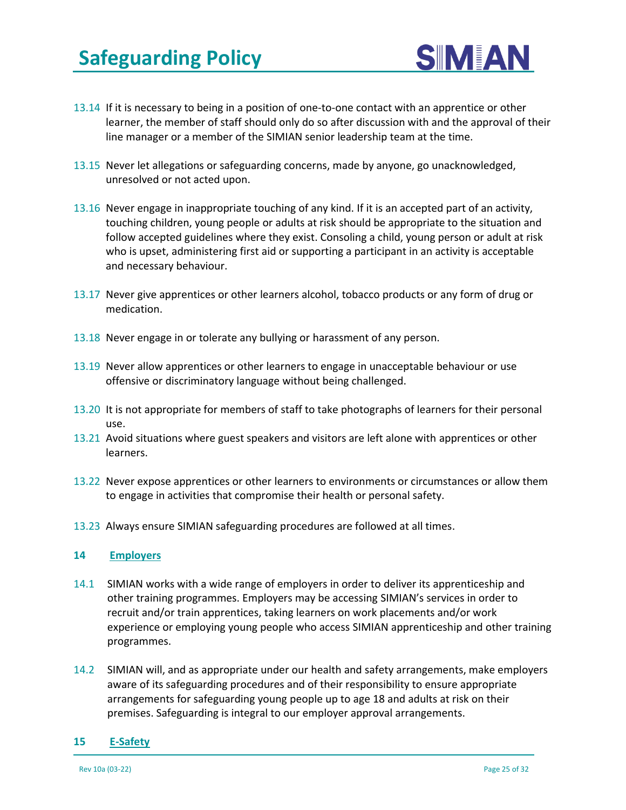

- 13.14 If it is necessary to being in a position of one-to-one contact with an apprentice or other learner, the member of staff should only do so after discussion with and the approval of their line manager or a member of the SIMIAN senior leadership team at the time.
- 13.15 Never let allegations or safeguarding concerns, made by anyone, go unacknowledged, unresolved or not acted upon.
- 13.16 Never engage in inappropriate touching of any kind. If it is an accepted part of an activity, touching children, young people or adults at risk should be appropriate to the situation and follow accepted guidelines where they exist. Consoling a child, young person or adult at risk who is upset, administering first aid or supporting a participant in an activity is acceptable and necessary behaviour.
- 13.17 Never give apprentices or other learners alcohol, tobacco products or any form of drug or medication.
- 13.18 Never engage in or tolerate any bullying or harassment of any person.
- 13.19 Never allow apprentices or other learners to engage in unacceptable behaviour or use offensive or discriminatory language without being challenged.
- 13.20 It is not appropriate for members of staff to take photographs of learners for their personal use.
- 13.21 Avoid situations where guest speakers and visitors are left alone with apprentices or other learners.
- 13.22 Never expose apprentices or other learners to environments or circumstances or allow them to engage in activities that compromise their health or personal safety.
- 13.23 Always ensure SIMIAN safeguarding procedures are followed at all times.

#### **14 Employers**

- 14.1 SIMIAN works with a wide range of employers in order to deliver its apprenticeship and other training programmes. Employers may be accessing SIMIAN's services in order to recruit and/or train apprentices, taking learners on work placements and/or work experience or employing young people who access SIMIAN apprenticeship and other training programmes.
- 14.2 SIMIAN will, and as appropriate under our health and safety arrangements, make employers aware of its safeguarding procedures and of their responsibility to ensure appropriate arrangements for safeguarding young people up to age 18 and adults at risk on their premises. Safeguarding is integral to our employer approval arrangements.

#### **15 E-Safety**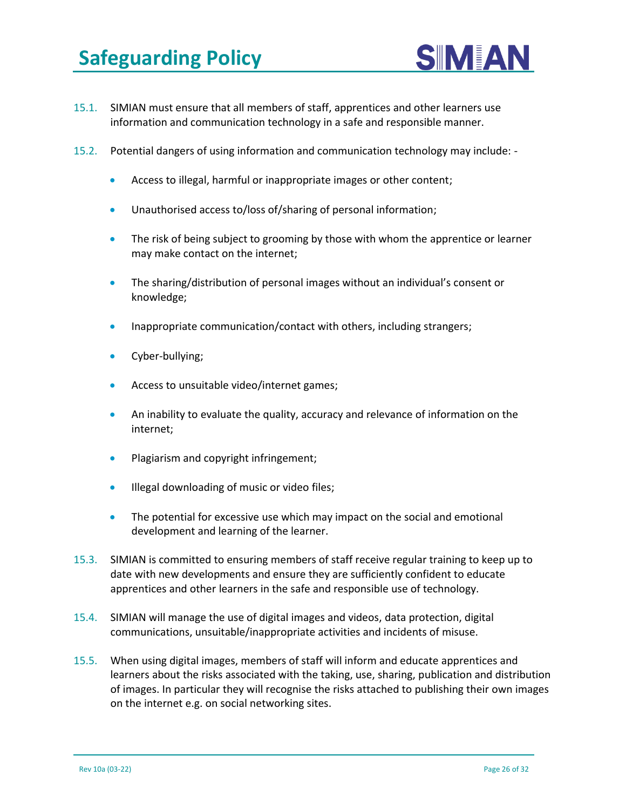

- 15.1. SIMIAN must ensure that all members of staff, apprentices and other learners use information and communication technology in a safe and responsible manner.
- 15.2. Potential dangers of using information and communication technology may include:
	- Access to illegal, harmful or inappropriate images or other content;
	- Unauthorised access to/loss of/sharing of personal information;
	- The risk of being subject to grooming by those with whom the apprentice or learner may make contact on the internet;
	- The sharing/distribution of personal images without an individual's consent or knowledge;
	- Inappropriate communication/contact with others, including strangers;
	- Cyber-bullying;
	- Access to unsuitable video/internet games;
	- An inability to evaluate the quality, accuracy and relevance of information on the internet;
	- Plagiarism and copyright infringement;
	- Illegal downloading of music or video files;
	- The potential for excessive use which may impact on the social and emotional development and learning of the learner.
- 15.3. SIMIAN is committed to ensuring members of staff receive regular training to keep up to date with new developments and ensure they are sufficiently confident to educate apprentices and other learners in the safe and responsible use of technology.
- 15.4. SIMIAN will manage the use of digital images and videos, data protection, digital communications, unsuitable/inappropriate activities and incidents of misuse.
- 15.5. When using digital images, members of staff will inform and educate apprentices and learners about the risks associated with the taking, use, sharing, publication and distribution of images. In particular they will recognise the risks attached to publishing their own images on the internet e.g. on social networking sites.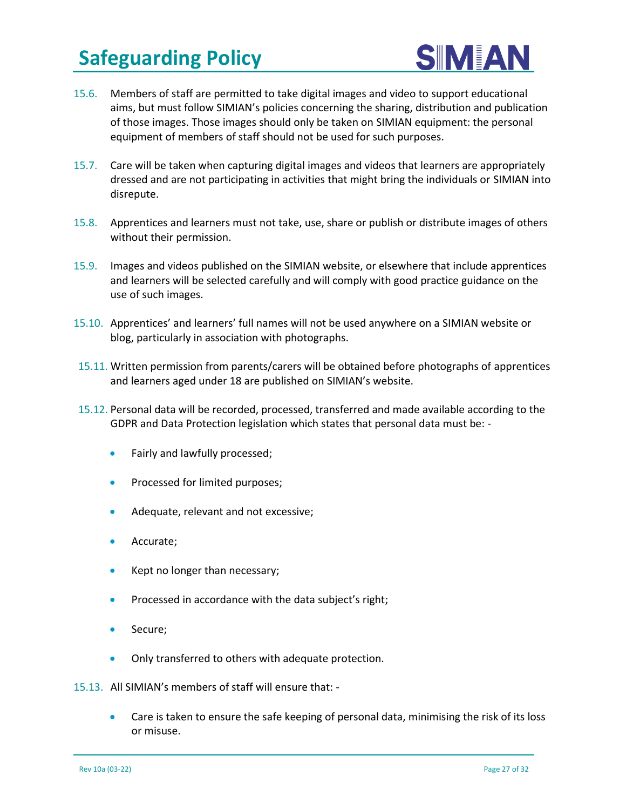

- 15.6. Members of staff are permitted to take digital images and video to support educational aims, but must follow SIMIAN's policies concerning the sharing, distribution and publication of those images. Those images should only be taken on SIMIAN equipment: the personal equipment of members of staff should not be used for such purposes.
- 15.7. Care will be taken when capturing digital images and videos that learners are appropriately dressed and are not participating in activities that might bring the individuals or SIMIAN into disrepute.
- 15.8. Apprentices and learners must not take, use, share or publish or distribute images of others without their permission.
- 15.9. Images and videos published on the SIMIAN website, or elsewhere that include apprentices and learners will be selected carefully and will comply with good practice guidance on the use of such images.
- 15.10. Apprentices' and learners' full names will not be used anywhere on a SIMIAN website or blog, particularly in association with photographs.
- 15.11. Written permission from parents/carers will be obtained before photographs of apprentices and learners aged under 18 are published on SIMIAN's website.
- 15.12. Personal data will be recorded, processed, transferred and made available according to the GDPR and Data Protection legislation which states that personal data must be: -
	- Fairly and lawfully processed;
	- Processed for limited purposes;
	- Adequate, relevant and not excessive;
	- Accurate;
	- Kept no longer than necessary;
	- Processed in accordance with the data subject's right;
	- Secure;
	- Only transferred to others with adequate protection.
- 15.13. All SIMIAN's members of staff will ensure that:
	- Care is taken to ensure the safe keeping of personal data, minimising the risk of its loss or misuse.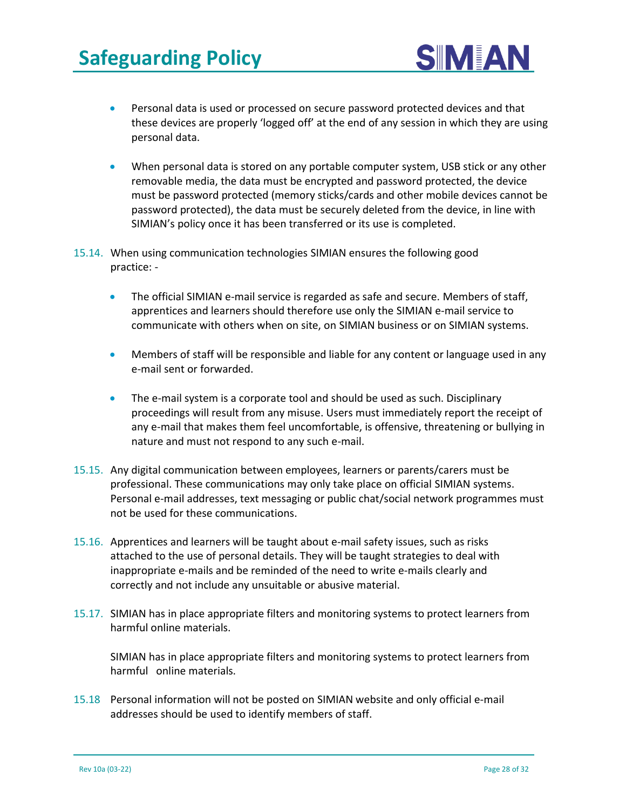

- Personal data is used or processed on secure password protected devices and that these devices are properly 'logged off' at the end of any session in which they are using personal data.
- When personal data is stored on any portable computer system, USB stick or any other removable media, the data must be encrypted and password protected, the device must be password protected (memory sticks/cards and other mobile devices cannot be password protected), the data must be securely deleted from the device, in line with SIMIAN's policy once it has been transferred or its use is completed.
- 15.14. When using communication technologies SIMIAN ensures the following good practice: -
	- The official SIMIAN e-mail service is regarded as safe and secure. Members of staff, apprentices and learners should therefore use only the SIMIAN e-mail service to communicate with others when on site, on SIMIAN business or on SIMIAN systems.
	- Members of staff will be responsible and liable for any content or language used in any e-mail sent or forwarded.
	- The e-mail system is a corporate tool and should be used as such. Disciplinary proceedings will result from any misuse. Users must immediately report the receipt of any e-mail that makes them feel uncomfortable, is offensive, threatening or bullying in nature and must not respond to any such e-mail.
- 15.15. Any digital communication between employees, learners or parents/carers must be professional. These communications may only take place on official SIMIAN systems. Personal e-mail addresses, text messaging or public chat/social network programmes must not be used for these communications.
- 15.16. Apprentices and learners will be taught about e-mail safety issues, such as risks attached to the use of personal details. They will be taught strategies to deal with inappropriate e-mails and be reminded of the need to write e-mails clearly and correctly and not include any unsuitable or abusive material.
- 15.17. SIMIAN has in place appropriate filters and monitoring systems to protect learners from harmful online materials.

SIMIAN has in place appropriate filters and monitoring systems to protect learners from harmful online materials.

15.18 Personal information will not be posted on SIMIAN website and only official e-mail addresses should be used to identify members of staff.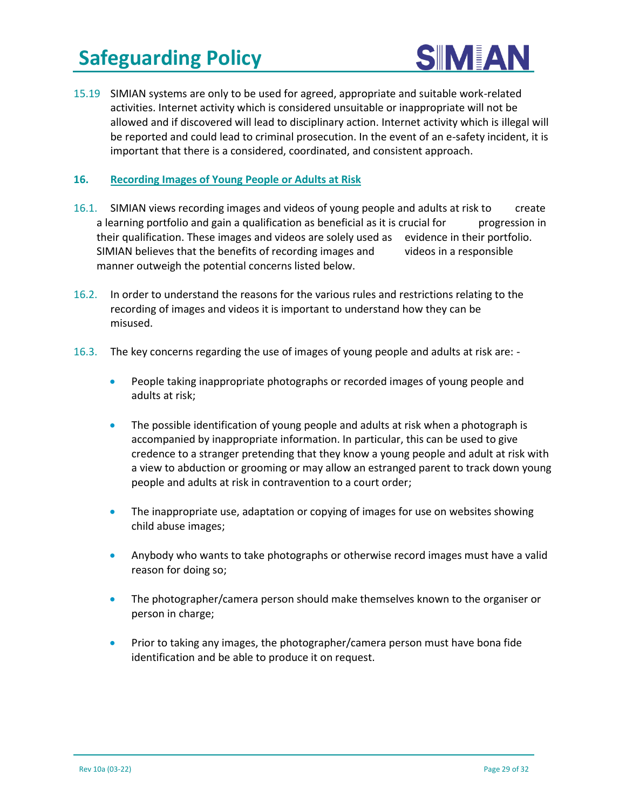

15.19 SIMIAN systems are only to be used for agreed, appropriate and suitable work-related activities. Internet activity which is considered unsuitable or inappropriate will not be allowed and if discovered will lead to disciplinary action. Internet activity which is illegal will be reported and could lead to criminal prosecution. In the event of an e-safety incident, it is important that there is a considered, coordinated, and consistent approach.

#### **16. Recording Images of Young People or Adults at Risk**

- 16.1. SIMIAN views recording images and videos of young people and adults at risk to create a learning portfolio and gain a qualification as beneficial as it is crucial for progression in their qualification. These images and videos are solely used as evidence in their portfolio. SIMIAN believes that the benefits of recording images and videos in a responsible manner outweigh the potential concerns listed below.
- 16.2. In order to understand the reasons for the various rules and restrictions relating to the recording of images and videos it is important to understand how they can be misused.
- 16.3. The key concerns regarding the use of images of young people and adults at risk are:
	- People taking inappropriate photographs or recorded images of young people and adults at risk;
	- The possible identification of young people and adults at risk when a photograph is accompanied by inappropriate information. In particular, this can be used to give credence to a stranger pretending that they know a young people and adult at risk with a view to abduction or grooming or may allow an estranged parent to track down young people and adults at risk in contravention to a court order;
	- The inappropriate use, adaptation or copying of images for use on websites showing child abuse images;
	- Anybody who wants to take photographs or otherwise record images must have a valid reason for doing so;
	- The photographer/camera person should make themselves known to the organiser or person in charge;
	- Prior to taking any images, the photographer/camera person must have bona fide identification and be able to produce it on request.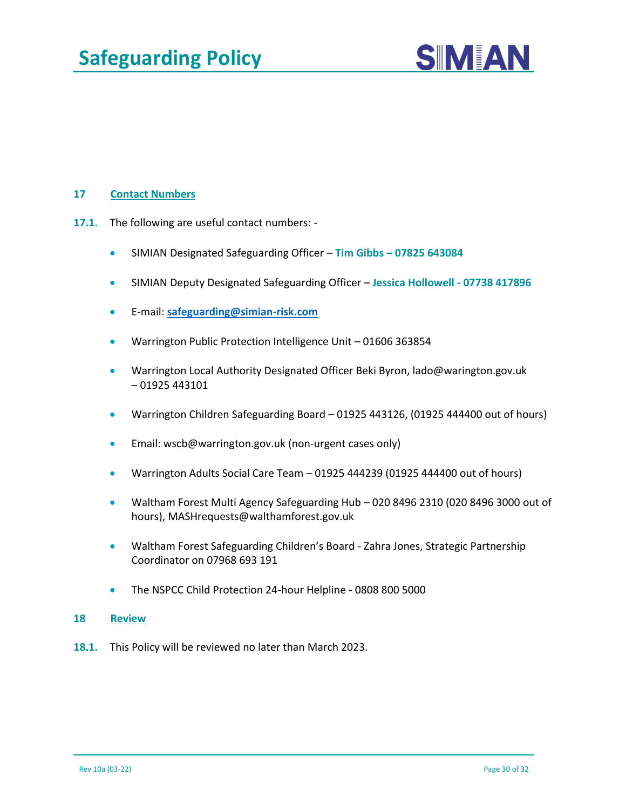

#### **17 Contact Numbers**

- **17.1.** The following are useful contact numbers:
	- SIMIAN Designated Safeguarding Officer **Tim Gibbs – 07825 643084**
	- SIMIAN Deputy Designated Safeguarding Officer **Jessica Hollowell - 07738 417896**
	- E-mail: **[safeguarding@simian-risk.com](mailto:safeguarding@simian-risk.com)**
	- Warrington Public Protection Intelligence Unit 01606 363854
	- Warrington Local Authority Designated Officer Beki Byron, lado@warington.gov.uk – 01925 443101
	- Warrington Children Safeguarding Board 01925 443126, (01925 444400 out of hours)
	- Email: [wscb@warrington.gov.uk](mailto:wscb@warrington.gov.uk) (non-urgent cases only)
	- Warrington Adults Social Care Team 01925 444239 (01925 444400 out of hours)
	- Waltham Forest Multi Agency Safeguarding Hub 020 8496 2310 (020 8496 3000 out of hours), [MASHrequests@walthamforest.gov.uk](mailto:MASHrequests@walthamforest.gov.uk)
	- Waltham Forest Safeguarding Children's Board Zahra Jones, Strategic Partnership Coordinator on 07968 693 191
	- The NSPCC Child Protection 24-hour Helpline 0808 800 5000

#### **18 Review**

**18.1.** This Policy will be reviewed no later than March 2023.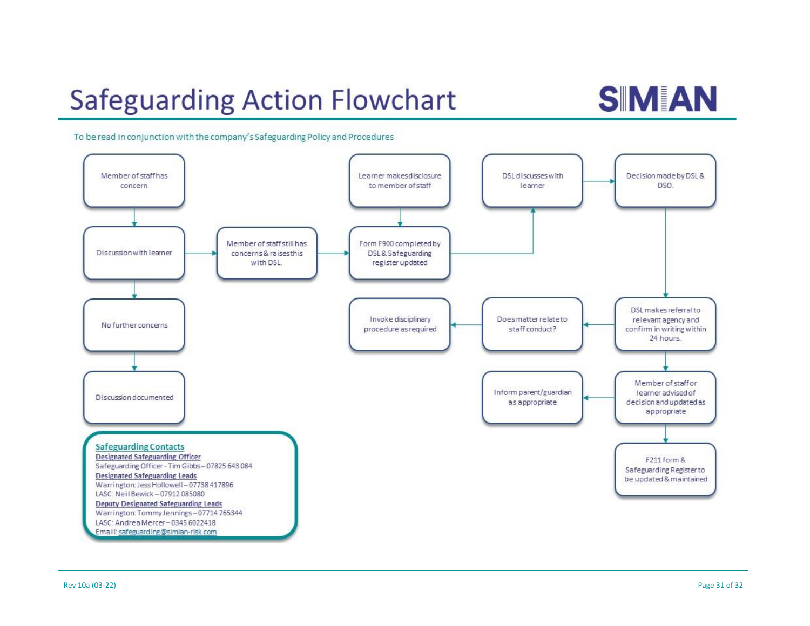# **Safeguarding Action Flowchart**

# **SIMJAN**

To be read in conjunction with the company's Safeguarding Policy and Procedures